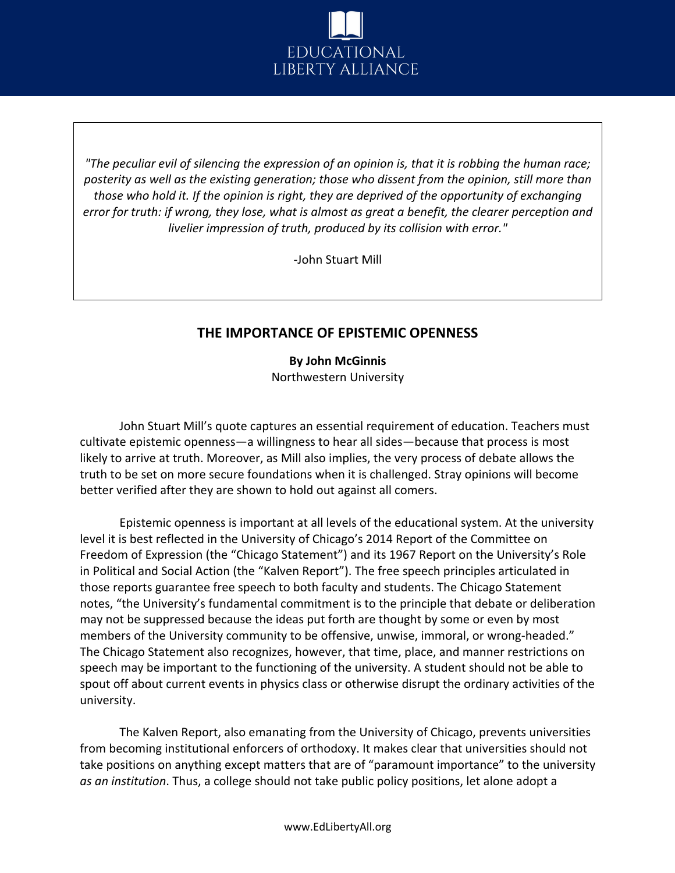

*"The peculiar evil of silencing the expression of an opinion is, that it is robbing the human race; posterity as well as the existing generation; those who dissent from the opinion, still more than those who hold it. If the opinion is right, they are deprived of the opportunity of exchanging error for truth: if wrong, they lose, what is almost as great a benefit, the clearer perception and livelier impression of truth, produced by its collision with error."*

-John Stuart Mill

## **THE IMPORTANCE OF EPISTEMIC OPENNESS**

**By John McGinnis** Northwestern University

John Stuart Mill's quote captures an essential requirement of education. Teachers must cultivate epistemic openness—a willingness to hear all sides—because that process is most likely to arrive at truth. Moreover, as Mill also implies, the very process of debate allows the truth to be set on more secure foundations when it is challenged. Stray opinions will become better verified after they are shown to hold out against all comers.

Epistemic openness is important at all levels of the educational system. At the university level it is best reflected in the University of Chicago's 2014 Report of the Committee on Freedom of Expression (the "Chicago Statement") and its 1967 Report on the University's Role in Political and Social Action (the "Kalven Report"). The free speech principles articulated in those reports guarantee free speech to both faculty and students. The Chicago Statement notes, "the University's fundamental commitment is to the principle that debate or deliberation may not be suppressed because the ideas put forth are thought by some or even by most members of the University community to be offensive, unwise, immoral, or wrong-headed." The Chicago Statement also recognizes, however, that time, place, and manner restrictions on speech may be important to the functioning of the university. A student should not be able to spout off about current events in physics class or otherwise disrupt the ordinary activities of the university.

The Kalven Report, also emanating from the University of Chicago, prevents universities from becoming institutional enforcers of orthodoxy. It makes clear that universities should not take positions on anything except matters that are of "paramount importance" to the university *as an institution*. Thus, a college should not take public policy positions, let alone adopt a